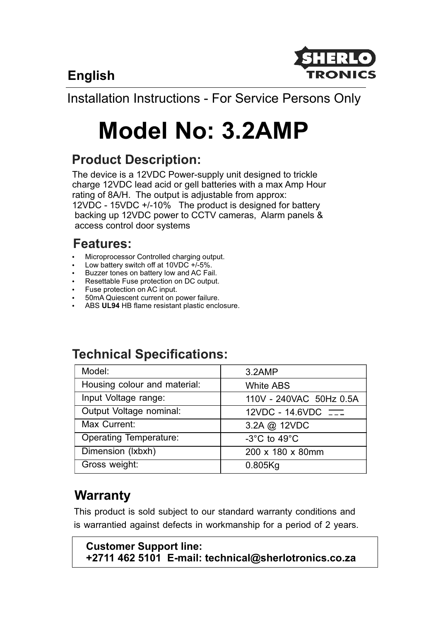**English**



Installation Instructions - For Service Persons Only

# **Model No: 3.2AMP**

### **Product Description:**

The device is a 12VDC Power-supply unit designed to trickle charge 12VDC lead acid or gell batteries with a max Amp Hour rating of 8A/H. The output is adjustable from approx: 12VDC - 15VDC +/-10% The product is designed for battery backing up 12VDC power to CCTV cameras, Alarm panels & access control door systems

### **Features:**

- Microprocessor Controlled charging output.
- Low battery switch off at  $10VDC +1.5%$ .
- Buzzer tones on battery low and AC Fail.
- **Resettable Fuse protection on DC output.**
- Fuse protection on AC input.
- 50mA Quiescent current on power failure.
- ABS UL94 HB flame resistant plastic enclosure.

#### **Technical Specifications:** Model: Housing colour and material: Input Voltage range: Output Voltage nominal: Max Current: Operating Temperature: Dimension (lxbxh) Gross weight: 3.2AMP White ABS 110V - 240VAC 50Hz 0.5A  $12VDC - 14.6VDC$ 3.2A @ 12VDC -3°C to 49°C 200 x 180 x 80mm 0.805Kg

# **Warranty**

This product is sold subject to our standard warranty conditions and is warrantied against defects in workmanship for a period of 2 years.

#### **Customer Support line: +2711 462 5101 E-mail: technical@sherlotronics.co.za**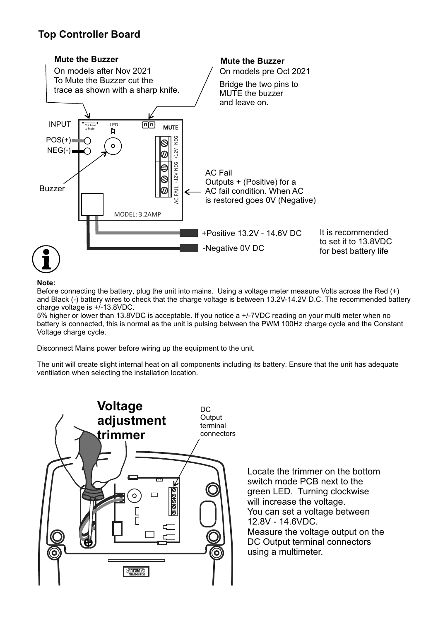#### **Top Controller Board**



#### **Note:**

Before connecting the battery, plug the unit into mains. Using a voltage meter measure Volts across the Red (+) and Black (-) battery wires to check that the charge voltage is between 13.2V-14.2V D.C. The recommended battery charge voltage is +/-13.8VDC.

5% higher or lower than 13.8VDC is acceptable. If you notice a +/-7VDC reading on your multi meter when no battery is connected, this is normal as the unit is pulsing between the PWM 100Hz charge cycle and the Constant Voltage charge cycle.

Disconnect Mains power before wiring up the equipment to the unit.

The unit will create slight internal heat on all components including its battery. Ensure that the unit has adequate ventilation when selecting the installation location.



Locate the trimmer on the bottom switch mode PCB next to the green LED. Turning clockwise will increase the voltage. You can set a voltage between 12.8V - 14.6VDC. Measure the voltage output on the DC Output terminal connectors using a multimeter.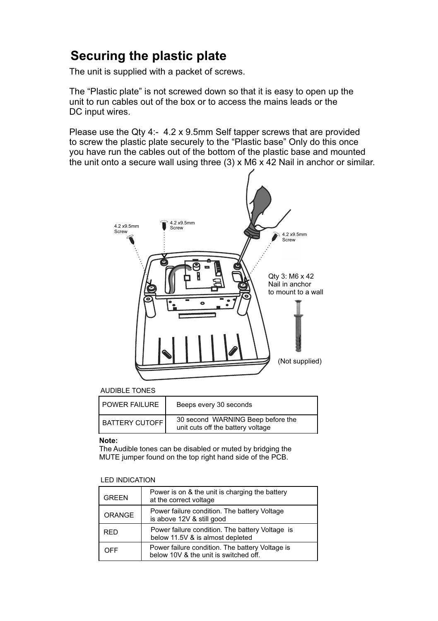## **Securing the plastic plate**

The unit is supplied with a packet of screws.

The "Plastic plate" is not screwed down so that it is easy to open up the unit to run cables out of the box or to access the mains leads or the DC input wires.

Please use the Qty 4:- 4.2 x 9.5mm Self tapper screws that are provided to screw the plastic plate securely to the "Plastic base" Only do this once you have run the cables out of the bottom of the plastic base and mounted the unit onto a secure wall using three  $(3)$  x M6 x 42 Nail in anchor or similar.



#### AUDIBLE TONES

| l POWER FAILURE | Beeps every 30 seconds                                                 |
|-----------------|------------------------------------------------------------------------|
| BATTERY CUTOFF  | 30 second WARNING Beep before the<br>unit cuts off the battery voltage |

#### **Note:**

MUTE jumper found on the top right hand side of the PCB. The Audible tones can be disabled or muted by bridging the

#### LED INDICATION

| <b>GREEN</b> | Power is on & the unit is charging the battery<br>at the correct voltage                 |
|--------------|------------------------------------------------------------------------------------------|
| ORANGE       | Power failure condition. The battery Voltage<br>is above 12V & still good                |
| <b>RFD</b>   | Power failure condition. The battery Voltage is<br>below 11.5V & is almost depleted      |
| OFF          | Power failure condition. The battery Voltage is<br>below 10V & the unit is switched off. |